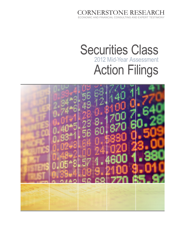CORNERSTONE RESEARCH ECONOMIC AND FINANCIAL CONSULTING AND EXPERT TESTIN

# Securities Class Action Filings 2012 Mid-Year Assessment

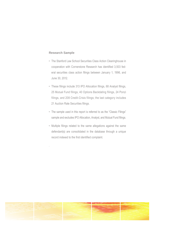# **Research Sample**

.

- The Stanford Law School Securities Class Action Clearinghouse in cooperation with Cornerstone Research has identified 3,503 federal securities class action filings between January 1, 1996, and June 30, 2012.
- These filings include 313 IPO Allocation filings, 68 Analyst filings, 25 Mutual Fund filings, 40 Options Backdating filings, 24 Ponzi filings, and 208 Credit-Crisis filings; the last category includes 21 Auction Rate Securities filings.
- The sample used in this report is referred to as the "Classic Filings" sample and excludes IPO Allocation, Analyst, and Mutual Fund filings.
- • Multiple filings related to the same allegations against the same defendant(s) are consolidated in the database through a unique record indexed to the first identified complaint.

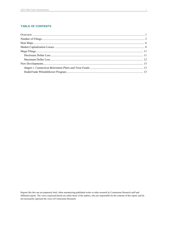# **TABLE OF CONTENTS**

 $\cdot$ 

Reports like this one are purposely brief, often summarizing published works or other research by Cornerstone Research staff and affiliated experts. The views expressed herein are solely those of the authors, who are responsible for the contents of this report, and do not necessarily represent the views of Cornerstone Research.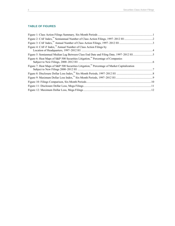# **TABLE OF FIGURES**

| Figure 4: CAF-F Index, <sup>11</sup> Annual Number of Class Action Filings by                           |  |
|---------------------------------------------------------------------------------------------------------|--|
| Figure 5: Semiannual Median Lag Between Class End Date and Filing Date, 1997-2012 H15                   |  |
| Figure 6: Heat Maps of S&P 500 Securities Litigation, <sup><math>M</math></sup> Percentage of Companies |  |
| Figure 7: Heat Maps of S&P 500 Securities Litigation, <sup>™</sup> Percentage of Market Capitalization  |  |
|                                                                                                         |  |
|                                                                                                         |  |
|                                                                                                         |  |
|                                                                                                         |  |
|                                                                                                         |  |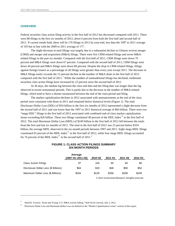#### <span id="page-4-0"></span>**OVERVIEW**

 $\overline{a}$ 

Federal securities class action filing activity in the first half of 2012 has decreased compared with 2011. There were 88 filings in the first six months of 2012, down 6 percent from both the first half and second half of 2011. If current trends hold, there will be 176 filings in 2012 by year-end, less than the 1997 to 2011 average of 193 but in line with the 2009 to 2011 average of 177.

The slight decrease in total filings was largely due to a substantial decline in Chinese reverse merger (CRM) and merger and acquisition (M&A) filings. There were five CRM-related filings and seven M&Arelated filings in the past six months. Compared with the first half of 2011, CRM filings were down 79 percent and M&A filings were down 67 percent. Compared with the second half of 2011, CRM filings were down 44 percent and M&A filings were down 68 percent. Despite the drop in CRM-related filings, filings against foreign issuers as a percentage of all filings were greater than every year except 2011. The decrease in M&A filings easily exceeds the 15 percent decline in the number of M&A deals in the first half of 2012 compared with the first half of 20[1](#page-4-2)1.<sup>1</sup> While the number of nontraditional filings has declined, traditional securities class action filings have increased by 23 percent since the second half of 2011.

At 36 days, the median lag between the class end date and the filing date was longer than the lag observed in recent semiannual periods. This is partly due to the decrease in the number of M&A-related filings, which tend to have a shorter turnaround between the end of the class period and filing.

The market capitalization declines in 2012 associated with announcements at the end of the class period were consistent with those in 2011 and remained below historical levels (Figure 1). The total Disclosure Dollar Loss (DDL) of \$54 billion in the first six months of 2012 represented a slight decrease from the second half of 2011 and was lower than the 1997 to 2011 historical average of \$64 billion. There were two "mega DDL" filings in the first half of 2012 associated with combined end-of-class market capitalization losses exceeding \$26 billion. These two filings constituted 49 percent of the DDL Index™ in the first half of 2012. The total Maximum Dollar Loss (MDL) of \$249 billion in the first half of 2012 fell between the totals from the first and last six months of 2011. The total in the first half of 2012 was 25 percent below \$334 billion, the average MDL observed in the six-month periods between 1997 and 2011. Eight mega MDL filings constituted 65 percent of the MDL Index<sup>™</sup> in the first half of 2012, while four mega MDL filings accounted for 76 percent of the MDL Index<sup>™</sup> in the second half of [2](#page-4-3)011.<sup>2</sup>

### **FIGURE 1: CLASS ACTION FILINGS SUMMARY SIX-MONTH PERIODS**

<span id="page-4-1"></span>

|                                      | Average<br>(1997 H1-2011 H2) | 2010 H <sub>2</sub> | 2011 H1 | 2011 H <sub>2</sub> | 2012 H1 |
|--------------------------------------|------------------------------|---------------------|---------|---------------------|---------|
| <b>Class Action Filings</b>          | 97                           | 104                 | 94      | 94                  | 88      |
| Disclosure Dollar Loss (\$ Billions) | \$64                         | \$19                | \$48    | \$58                | \$54    |
| Maximum Dollar Loss (\$ Billions)    | \$334                        | \$129               | \$256   | \$238               | \$249   |

© 2012 Cornerstone Research. All rights reserved.

<sup>1</sup> Stilwell, Victoria, "Ernst and Young: U.S. M&A activity falling," *Wall Street Journal*, July 2, 2012.

<span id="page-4-3"></span><span id="page-4-2"></span><sup>2</sup> Disclosure Dollar Loss and Maximum Dollar Loss are defined in the "Market Capitalization Losses" section of this report.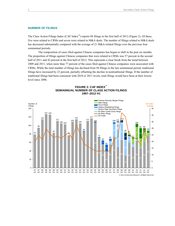#### <span id="page-5-0"></span>**NUMBER OF FILINGS**

The Class Action Filings Index (CAF Index™) reports 88 filings in the first half of 2012 (Figure 2). Of these, five were related to CRMs and seven were related to M&A deals. The number of filings related to M&A deals has decreased substantially compared with the average of 21 M&A-related filings over the previous four semiannual periods.

The composition of cases filed against Chinese companies has begun to shift in the past six months. The proportion of filings against Chinese companies that were related to CRMs was 57 percent in the second half of 2011 and 42 percent in the first half of 2012. This represents a clear break from the trend between 2009 and 2011, when more than 77 percent of the cases filed against Chinese companies were associated with CRMs. While the total number of filings has declined from 94 filings in the last semiannual period, traditional filings have increased by 23 percent, partially offsetting the decline in nontraditional filings. If the number of traditional filings had been consistent with 2010 or 2011 levels, total filings would have been at their lowest level since 2006.

<span id="page-5-1"></span>

## **FIGURE 2: CAF INDEX™ SEMIANNUAL NUMBER OF CLASS ACTION FILINGS 1997–2012 H1**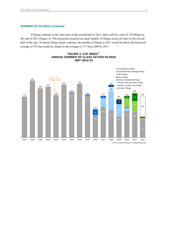# **NUMBER OF FILINGS** *continued*

<span id="page-6-0"></span>If filings continue at the same pace in the second half of 2012, there will be a total of 176 filings by the end of 2012 (Figure 3). This projection assumes an equal number of filings across all types in the second half of the year. If current filings trends continue, the number of filings in 2012 would be below the historical average of 193 but would be similar to the average of 177 from 2009 to 2011.



# **FIGURE 3: CAF INDEX™ ANNUAL NUMBER OF CLASS ACTION FILINGS 1997–2012 H1**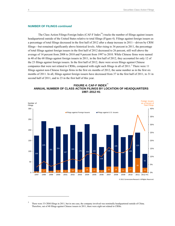#### **NUMBER OF FILINGS** *continued*

The Class Action Filings-Foreign Index (CAF-F Index™) tracks the number of filings against issuers headquartered outside of the United States relative to total filings (Figure 4). Filings against foreign issuers as a percentage of total filings decreased in the first half of 2012 after a sharp increase in 2011—driven by CRM filings—but remained significantly above historical levels. After rising to 36 percent in 2011, the percentage of total filings against foreign issuers in the first half of 2012 decreased to 26 percent, still well above the average of 14 percent from 2008 to 2010 and 9 percent from 1997 to 2010. While Chinese firms were named in 40 of the 68 filings against foreign issuers in 2011, in the first half of 2012, they accounted for only 12 of the 23 filings against foreign issuers. In the first half of 2012, there were seven filings against Chinese companies that were not related to CRMs, compared with eight such filings in all of 2011. [3](#page-7-1) There were 11 filings against non-Chinese foreign firms in the first six months of 2012, the same number as in the first six months of 2011. In all, filings against foreign issuers have decreased from 37 in the first half of 2011, to 31 in second half of 2011, and to 23 in the first half of this year.

<span id="page-7-0"></span>



 $\overline{a}$ 

<span id="page-7-1"></span><sup>&</sup>lt;sup>3</sup> There were 33 CRM filings in 2011, but in one case, the company involved was nominally headquartered outside of China. Therefore, out of 40 filings against Chinese issuers in 2011, there were eight not related to CRMs.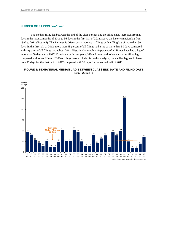## **NUMBER OF FILINGS** *continued*

 The median filing lag between the end of the class periods and the filing dates increased from 20 days in the last six months of 2011 to 36 days in the first half of 2012, above the historic median lag from to 2011 (Figure 5). This increase is driven by an increase in filings with a filing lag of more than 50 days. In the first half of 2012, more than 43 percent of all filings had a lag of more than 50 days compared with a quarter of all filings throughout 2011. Historically, roughly 40 percent of all filings have had a lag of more than 50 days since 1997. Consistent with past years, M&A filings tend to have a shorter filing lag compared with other filings. If M&A filings were excluded from this analysis, the median lag would have been 45 days for the first half of 2012 compared with 37 days for the second half of 2011.

## <span id="page-8-0"></span>**FIGURE 5: SEMIANNUAL MEDIAN LAG BETWEEN CLASS END DATE AND FILING DATE 1997–2012 H1**

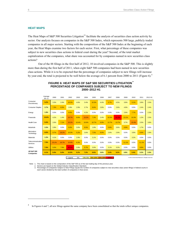## <span id="page-9-0"></span>**HEAT MAPS**

The Heat Maps of S&P 500 Securities Litigation™ facilitate the analysis of securities class action activity by sector. Our analysis focuses on companies in the S&P 500 Index, which represents 500 large, publicly traded companies in all major sectors. Starting with the composition of the S&P 500 Index at the beginning of each year, the Heat Maps examine two factors for each sector. First, what percentage of these companies was subject to new securities class actions in federal court during the year? Second, of the total market capitalization of the companies, what share was accounted for by companies named in new securities class actions?

<span id="page-9-1"></span>Out of the 88 filings in the first half of 2012, 10 involved companies in the S&P 500. This is slightly more than during the first half of 2011, when eight S&P 500 companies had been named in new securities class actions. While it is to be expected that the percentage of companies subject to new filings will increase by year-end, the total is projected to be well below the average of 6.1 percent from 2000 to 2011 (Figure 6).<sup>[4](#page-9-2)</sup>

|                                     | Average<br>$00 - 11$ | 2000  | 2001  | 2002   | 2003  | 2004        | 2005       | 2006    | 2007    | 2008  | 2009  | 2010                                              | 2011  | 2012 H1 |
|-------------------------------------|----------------------|-------|-------|--------|-------|-------------|------------|---------|---------|-------|-------|---------------------------------------------------|-------|---------|
| Consumer<br>Discretionary           | 5.2%                 | 3.3%  | 2.4%  | 10.2%  | 4.6%  | 3.4%        | 10.3%      | 4.4%    | 5.7%    | 4.5%  | 3.8%  | 5.1%                                              | 3.8%  | 2.5%    |
| <b>Consumer Staples</b>             | 3.7%                 | 7.3%  | 8.3%  | 2.9%   | 2.9%  | 2.7%        | 8.6%       | 2.8%    | 0.0%    | 2.6%  | 4.9%  | 0.0%                                              | 2.4%  | 2.4%    |
| Energy                              | 1.9%                 | 0.0%  | 0.0%  | 8.0%   | 0.0%  | 4.2%        | 0.0%       | 0.0%    | 0.0%    | 0.0%  | 2.6%  | 7.7%                                              | 0.0%  | 2.3%    |
| Financials                          | 10.8%                | 4.2%  | 1.4%  | 16.7%  | 8.6%  | 19.3%       | 7.3%       | 2.4%    | 10.3%   | 31.2% | 13.1% | 10.3%                                             | 1.2%  | 2.5%    |
| <b>Health Care</b>                  | 9.4%                 | 2.6%  | 7.1%  | 15.2%  | 10.4% | 10.6%       | 10.7%      | 6.9%    | 12.7%   | 13.7% | 3.7%  | 15.4%                                             | 2.0%  | 3.8%    |
| Industrials                         | 3.3%                 | 2.8%  | 0.0%  | 6.0%   | 3.0%  | 8.5%        | 1.8%       | 0.0%    | 5.8%    | 3.6%  | 6.9%  | 0.0%                                              | 1.7%  | 0.0%    |
| Information<br>Technology           | 6.6%                 | 9.7%  | 18.2% | 10.3%  | 5.2%  | 3.6%        | 7.5%       | 9.0%    | 2.6%    | 2.9%  | 0.0%  | 3.9%                                              | 6.6%  | 2.9%    |
| Materials                           | 1.2%                 | 4.1%  | 0.0%  | 0.0%   | 2.9%  | 0.0%        | 3.1%       | 0.0%    | 0.0%    | 0.0%  | 0.0%  | 3.2%                                              | 0.0%  | 0.0%    |
| Telecommunication<br>Services       | 7.9%                 | 23.1% | 16.7% | 15.4%  | 8.3%  | 0.0%        | 0.0%       | 0.0%    | 0.0%    | 0.0%  | 11.1% | 0.0%                                              | 11.1% | 0.0%    |
| Utilities                           | 7.0%                 | 5.0%  | 7.9%  | 40.5%  | 2.8%  | 5.7%        | 3.0%       | 0.0%    | 3.1%    | 3.2%  | 0.0%  | 0.0%                                              | 8.8%  | 0.0%    |
| <b>All S&amp;P 500</b><br>Companies | 6.1%                 | 5.0%  | 5.6%  | 12.0%  | 5.2%  | 7.2%        | 6.6%       | 3.6%    | 5.4%    | 9.2%  | 4.8%  | 5.4%                                              | 3.2%  | 2.0%    |
|                                     |                      |       |       | Leaend | 0%    | $0\% - 5\%$ | $5% - 15%$ | 15%-25% | $25% +$ |       |       | C 2012 Cornerstone Research, All rights reserved. |       |         |

## **FIGURE 6: HEAT MAPS OF S&P 500 SECURITIES LITIGATION™ PERCENTAGE OF COMPANIES SUBJECT TO NEW FILINGS 2000–2012 H1**

ł Note: 1. The chart is based on the composition of the S&P 500 as of the last trading day of the previous year. 2. Sectors are based on the Global Industry Classification Standard.

3. Percentage of Companies Subject to New Filings equals the number of companies subject to new securities class action filings in federal courts in each sector divided by the total number of companies in that sector.

 $\overline{a}$ 

<span id="page-9-2"></span>In Figures 6 and 7, all new filings against the same company have been consolidated so that the totals reflect unique companies.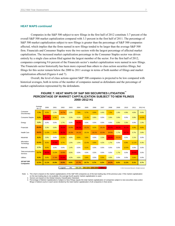#### **HEAT MAPS** *continued*

Companies in the S&P 500 subject to new filings in the first half of 2012 constitute 3.7 percent of the overall S&P 500 market capitalization compared with 3.3 percent in the first half of 2011. The percentage of S&P 500 market capitalization subject to new filings is greater than the percentage of S&P 500 companies affected, which implies that the firms named in new filings tended to be larger than the average S&P 500 firm. Financials and Consumer Staples were the two sectors with the largest percentage of affected market capitalization. The increased market capitalization percentage in the Consumer Staples sector was driven entirely by a single class action filed against the largest member of the sector. For the first half of 2012, companies comprising 9.6 percent of the Financials sector's market capitalization were named in new filings. The Financials sector historically has been more exposed than others to class action securities filings, but filings for this sector remain below the 2000 to 2011 average in terms of both number of filings and market capitalization affected (Figures 6 and 7).

<span id="page-10-0"></span>Overall, the level of class actions against S&P 500 companies is projected to be low compared with historical averages, both in terms of the number of companies named as defendants and the percentage of market capitalization represented by the defendants.

|                                     | Average<br>$00 - 11$ | 2000  | 2001  | 2002  | 2003  | 2004  | 2005  | 2006  | 2007  | 2008  | 2009  | 2010  | 2011  | 2012 H1 |
|-------------------------------------|----------------------|-------|-------|-------|-------|-------|-------|-------|-------|-------|-------|-------|-------|---------|
| Consumer<br>Discretionary           | 7.7%                 | 6.5%  | 1.3%  | 24.7% | 2.0%  | 7.9%  | 5.7%  | 8.9%  | 4.4%  | 7.2%  | 1.9%  | 4.9%  | 4.6%  | 0.6%    |
| <b>Consumer Staples</b>             | 5.2%                 | 34.5% | 6.3%  | 0.3%  | 2.3%  | 0.1%  | 11.4% | 0.8%  | 0.0%  | 2.6%  | 3.9%  | 0.0%  | 0.8%  | 14.0%   |
| Energy                              | 3.2%                 | 0.0%  | 0.0%  | 1.7%  | 0.0%  | 44.9% | 0.0%  | 0.0%  | 0.0%  | 0.0%  | 0.9%  | 3.3%  | 0.0%  | 1.0%    |
| Financials                          | 25.0%                | 3.3%  | 0.8%  | 29.2% | 19.9% | 46.1% | 22.2% | 8.2%  | 18.1% | 55.0% | 38.3% | 31.1% | 6.9%  | 9.6%    |
| <b>Health Care</b>                  | 18.2%                | 11.0% | 5.4%  | 35.2% | 16.3% | 24.1% | 10.1% | 18.1% | 22.5% | 20.0% | 1.7%  | 33.7% | 0.7%  | 3.8%    |
| Industrials                         | 8.2%                 | 3.9%  | 0.0%  | 13.3% | 4.6%  | 8.8%  | 5.6%  | 0.0%  | 2.2%  | 26.4% | 23.2% | 0.0%  | 2.1%  | 0.0%    |
| Information<br>Technology           | 10.4%                | 8.5%  | 37.6% | 5.7%  | 1.0%  | 1.5%  | 12.4% | 9.9%  | 4.2%  | 1.7%  | 0.0%  | 6.8%  | 11.1% | 0.3%    |
| <b>Materials</b>                    | 2.7%                 | 8.6%  | 0.0%  | 0.0%  | 1.4%  | 0.0%  | 5.1%  | 0.0%  | 0.0%  | 0.0%  | 0.0%  | 12.5% | 0.0%  | 0.0%    |
| Telecommunication<br>Services       | 13.7%                | 39.5% | 13.3% | 19.9% | 4.0%  | 0.0%  | 0.0%  | 0.0%  | 0.0%  | 0.0%  | 1.7%  | 0.0%  | 28.4% | 0.0%    |
| Utilities                           | 9.3%                 | 5.6%  | 17.4% | 51.0% | 4.3%  | 4.8%  | 5.6%  | 0.0%  | 5.5%  | 4.0%  | 0.0%  | 0.0%  | 5.6%  | 0.0%    |
| <b>All S&amp;P 500</b><br>Companies | 12.3%                | 11.1% | 10.9% | 18.8% | 8.0%  | 17.7% | 10.7% | 6.7%  | 8.2%  | 16.2% | 8.6%  | 11.2% | 5.1%  | 3.7%    |

## **FIGURE 7: HEAT MAPS OF S&P 500 SECURITIES LITIGATION™ PERCENTAGE OF MARKET CAPITALIZATION SUBJECT TO NEW FILINGS 2000–2012 H1**

Legend 0% <mark>0%–5% 5%–15% 15%–25% 25%+</mark> 25%+ © 2012 Cornerstone Research. All rights reserved

 Note: 1. The chart is based on the market capitalizations of the S&P 500 companies as of the last trading day of the previous year. If the market capitalization j on the last trading day is not available, the average fourth-quarter market capitalization is used. 2. Sectors are based on the Global Industry Classification Standard.

 3. Percentage of Market Capitalizations Subject to New Filings equals the total market capitalization of companies subject to new securities class action filings in federal courts in each sector divided by the total market capitalization of all companies in that sector.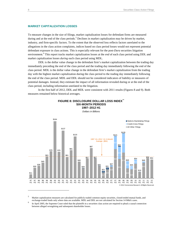#### <span id="page-11-0"></span>**MARKET CAPITALIZATION LOSSES**

To measure changes in the size of filings, market capitalization losses for defendant firms are measured during and at the end of the class periods.<sup>[5](#page-11-2)</sup> Declines in market capitalization may be driven by market, industry, and firm-specific factors. To the extent that the observed loss reflects factors unrelated to the allegations in the class action complaints, indices based on class period losses would not represent potential defendant exposure in class actions. This is especially relevant for the post-*Dura* securities litigation environment.<sup>[6](#page-11-3)</sup> This report tracks market capitalization losses at the *end* of each class period using DDL and market capitalization losses *during* each class period using MDL.

DDL is the dollar value change in the defendant firm's market capitalization between the trading day immediately preceding the end of the class period and the trading day immediately following the end of the class period. MDL is the dollar value change in the defendant firm's market capitalization from the trading day with the highest market capitalization during the class period to the trading day immediately following the end of the class period. MDL and DDL should not be considered indicators of liability or measures of potential damages. Instead, they estimate the impact of all information revealed during or at the end of the class period, including information unrelated to the litigation.

<span id="page-11-1"></span>In the first half of 2012, DDL and MDL were consistent with 2011 results (Figures 8 and 9). Both measures remained below historical averages.



**FIGURE 8: DISCLOSURE DOLLAR LOSS INDEX™ SIX-MONTH PERIODS 1997–2012 H1**

*Dollars in Billions*

<span id="page-11-2"></span><sup>5</sup> Market capitalization measures are calculated for publicly traded common equity securities, closed-ended mutual funds, and exchange-traded funds only where data are available. MDL and DDL are not calculated for Section 14 M&A cases.<br><sup>6</sup> In April 2005, the Supreme Court ruled that the plaintiffs in a securities class action are required to plea

<span id="page-11-3"></span>between alleged wrongdoing and subsequent shareholder losses.

 $\overline{a}$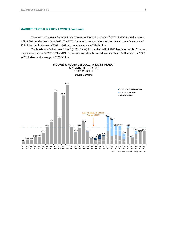## **MARKET CAPITALIZATION LOSSES** *continued*

There was a 7 percent decrease in the Disclosure Dollar Loss Index™ (DDL Index) from the second half of 2011 to the first half of 2012. The DDL Index still remains below its historical six-month average of \$63 billion but is above the 2009 to 2011 six-month average of \$44 billion.

The Maximum Dollar Loss Index™ (MDL Index) for the first half of 2012 has increased by 5 percent since the second half of 2011. The MDL Index remains below historical averages but is in line with the 2009 to 2011 six-month average of \$253 billion.

<span id="page-12-0"></span>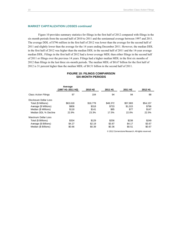## **MARKET CAPITALIZATION LOSSES** *continued*

Figure 10 provides summary statistics for filings in the first half of 2012 compared with filings in the six-month periods from the second half of 2010 to 2011 and the semiannual average between 1997 and 2011. The average DDL of \$796 million in the first half of 2012 was lower than the average for the second half of 2011 and slightly lower than the average for the 14 years ending December 2011. However, the median DDL in the first half of 2012 was higher than the median DDL in the second half of 2011 and the 14-year average median DDL. Filings in the first half of 2012 had a lower average MDL than either filings in the second half of 2011 or filings over the previous 14 years. Filings had a higher median MDL in the first six months of 2012 than filings in the last three six-month periods. The median MDL of \$0.67 billion for the first half of 2012 is 31 percent higher than the median MDL of \$0.51 billion in the second half of 2011.

<span id="page-13-0"></span>

|                             | Average<br>(1997 H1-2011 H2) | 2010 H <sub>2</sub> | 2011 H1  | 2011 H <sub>2</sub> | 2012 H1  |
|-----------------------------|------------------------------|---------------------|----------|---------------------|----------|
| <b>Class Action Filings</b> | 97                           | 104                 | 94       | 94                  | 88       |
| Disclosure Dollar Loss      |                              |                     |          |                     |          |
| Total (\$ Millions)         | \$63,618                     | \$18,778            | \$48.372 | \$57.883            | \$54,157 |
| Average (\$ Millions)       | \$806                        | \$318               | \$733    | \$1,015             | \$796    |
| Median (\$ Millions)        | \$118                        | \$141               | \$85     | \$77                | \$147    |
| Median DDL % Decline        | 22.9%                        | 23.3%               | 17.5%    | 22.0%               | 22.5%    |
| Maximum Dollar Loss         |                              |                     |          |                     |          |
| Total (\$ Billions)         | \$334                        | \$129               | \$256    | \$238               | \$249    |
| Average (\$ Billions)       | \$4.27                       | \$2.19              | \$3.87   | \$4.17              | \$3.67   |
| Median (\$ Billions)        | \$0.66                       | \$0.39              | \$0.36   | \$0.51              | \$0.67   |

## **FIGURE 10: FILINGS COMPARISON SIX-MONTH PERIODS**

© 2012 Cornerstone Research. All rights reserved.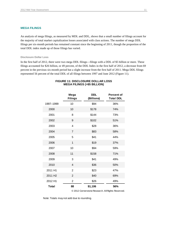## <span id="page-14-0"></span>**MEGA FILINGS**

An analysis of mega filings, as measured by MDL and DDL, shows that a small number of filings account for the majority of total market capitalization losses associated with class actions. The number of mega DDL filings per six-month periods has remained constant since the beginning of 2011, though the proportion of the total DDL index made up of those filings has varied.

#### <span id="page-14-1"></span>**Disclosure Dollar Loss**

<span id="page-14-2"></span>In the first half of 2012, there were two mega DDL filings—filings with a DDL of \$5 billion or more. These filings accounted for \$26 billion, or 49 percent, of the DDL Index in the first half of 2012, a decrease from 69 percent in the previous six-month period but a slight increase from the first half of 2011. Mega DDL filings represented 56 percent of the total DDL of all filings between 1997 and June 2012 (Figure 11).

#### **FIGURE 11: DISCLOSURE DOLLAR LOSS MEGA FILINGS (>\$5 BILLION)**

|                     | Mega<br><b>Filings</b>                            | <b>DDL</b><br>(Billions) | <b>Percent of</b><br><b>Total DDL</b> |  |  |  |
|---------------------|---------------------------------------------------|--------------------------|---------------------------------------|--|--|--|
| 1997-1999           | 10                                                | \$94                     | 36%                                   |  |  |  |
| 2000                | 10                                                | \$178                    | 74%                                   |  |  |  |
| 2001                | 8                                                 | \$144                    | 73%                                   |  |  |  |
| 2002                | 9                                                 | \$102                    | 51%                                   |  |  |  |
| 2003                | $\overline{4}$                                    | \$28                     | 36%                                   |  |  |  |
| 2004                | 7                                                 | \$83                     | 58%                                   |  |  |  |
| 2005                | 5                                                 | \$41                     | 44%                                   |  |  |  |
| 2006                | 1                                                 | \$19                     | 37%                                   |  |  |  |
| 2007                | 10                                                | \$94                     | 59%                                   |  |  |  |
| 2008                | 11                                                | \$158                    | 71%                                   |  |  |  |
| 2009                | 3                                                 | \$41                     | 49%                                   |  |  |  |
| 2010                | $\overline{4}$                                    | \$36                     | 50%                                   |  |  |  |
| 2011 H1             | $\overline{2}$                                    | \$23                     | 47%                                   |  |  |  |
| 2011 H <sub>2</sub> | $\overline{2}$                                    | \$40                     | 69%                                   |  |  |  |
| 2012 H1             | $\overline{2}$                                    | \$26                     | 49%                                   |  |  |  |
| <b>Total</b>        | 88                                                | \$1,106                  | 56%                                   |  |  |  |
|                     | © 2012 Cornerstone Research. All Rights Reserved. |                          |                                       |  |  |  |

Note: Totals may not add due to rounding.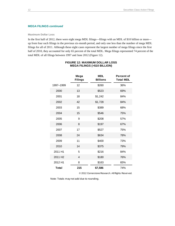#### **MEGA FILINGS** *continued*

#### <span id="page-15-0"></span>**Maximum Dollar Loss**

<span id="page-15-1"></span>In the first half of 2012, there were eight mega MDL filings—filings with an MDL of \$10 billion or more up from four such filings in the previous six-month period, and only one less than the number of mega MDL filings for all of 2011. Although these eight cases represent the largest number of mega filings since the first half of 2010, they accounted for only 65 percent of the total MDL. Mega filings represented 74 percent of the total MDL of all filings between 1997 and June 2012 (Figure 12).

|                     | Mega<br><b>Filings</b> | <b>MDL</b><br><b>Billions</b> | <b>Percent of</b><br><b>Total MDL</b> |
|---------------------|------------------------|-------------------------------|---------------------------------------|
| 1997-1999           | 12                     | \$260                         | 36%                                   |
| 2000                | 13                     | \$523                         | 69%                                   |
| 2001                | 18                     | \$1,242                       | 84%                                   |
| 2002                | 42                     | \$1,728                       | 84%                                   |
| 2003                | 15                     | \$389                         | 68%                                   |
| 2004                | 15                     | \$546                         | 75%                                   |
| 2005                | 9                      | \$208                         | 57%                                   |
| 2006                | 8                      | \$197                         | 67%                                   |
| 2007                | 17                     | \$527                         | 75%                                   |
| 2008                | 24                     | \$634                         | 78%                                   |
| 2009                | 11                     | \$400                         | 73%                                   |
| 2010                | 14                     | \$375                         | 79%                                   |
| 2011 H1             | 5                      | \$216                         | 84%                                   |
| 2011 H <sub>2</sub> | $\overline{4}$         | \$180                         | 76%                                   |
| 2012 H1             | 8                      | \$163                         | 65%                                   |
| Total               | 215                    | \$7,586                       | 74%                                   |

## **FIGURE 12: MAXIMUM DOLLAR LOSS MEGA FILINGS (>\$10 BILLION)**

© 2012 Cornerstone Research. All Rights Reserved.

Note: Totals may not add due to rounding.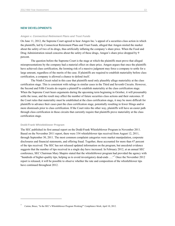#### <span id="page-16-0"></span>**NEW DEVELOPMENTS**

#### <span id="page-16-1"></span>*Amgen v. Connecticut Retirement Plans and Trust Funds*

On June 11, 2012, the Supreme Court agreed to hear Amgen Inc.'s appeal of a securities class action in which the plaintiffs, led by Connecticut Retirement Plans and Trust Funds, alleged that Amgen misled the market about the safety of two of its drugs, thus artificially inflating the company's share price. When the Food and Drug Administration raised concerns about the safety of these drugs, Amgen's share price dropped by 9 percent.

 The question before the Supreme Court is the stage at which the plaintiffs must prove that alleged misrepresentations by the company had a material effect on share price. Amgen argues that once the plaintiffs have achieved class certification, the looming risk of a massive judgment may force a company to settle for a large amount, regardless of the merits of the case. If plaintiffs are required to establish materiality before class certification, a company is allowed a chance to defend itself.

The Ninth Circuit ruled in this case that plaintiffs need only plausibly allege materiality at the class certification stage. This is consistent with rulings in similar cases in the Third and Seventh Circuits. However, the Second and Fifth Circuits do require a plaintiff to establish materiality at the class certification stage. When the Supreme Court hears arguments during the upcoming term beginning in October, it will presumably settle the issue, and the result may affect the number of future securities class actions and their outcomes. If the Court rules that materiality must be established at the class certification stage, it may be more difficult for plaintiffs to advance their cases past the class certification stage, potentially resulting in fewer filings and/or more dismissals prior to class certification. If the Court rules the other way, plaintiffs will have an easier path through class certification in those circuits that currently require that plaintiffs prove materiality at the class certification stage.

#### <span id="page-16-2"></span>**Dodd-Frank Whistleblower Program**

 $\overline{a}$ 

The SEC published its first annual report on the Dodd-Frank Whistleblower Program in November 2011. Based on the November 2011 report, there were 334 whistleblower tips received from August 12, 2011, through September 30, 2011. The most common complaint categories were market manipulation, corporate disclosures and financial statements, and offering fraud. Together, these accounted for more than 47 percent of the tips received. The SEC has not released updated information on the program, but anecdotal evidence suggests that the number of tips received in a single day have increased. In February 2012, at an annual SEC conference, SEC Chairman Mary Shapiro stated that the whistleblower program had provided the agency with "hundreds of higher-quality tips, helping us to avoid investigatory dead-ends …."[7](#page-16-3) Once the November 2012 report is released, it will be possible to observe whether the rate and composition of the whistleblower tips have continued throughout 2012.

<span id="page-16-3"></span><sup>7</sup> Carton, Bruce, "Is the SEC's Whistleblower Program Working?" *Compliance Week*, April 10, 2012.